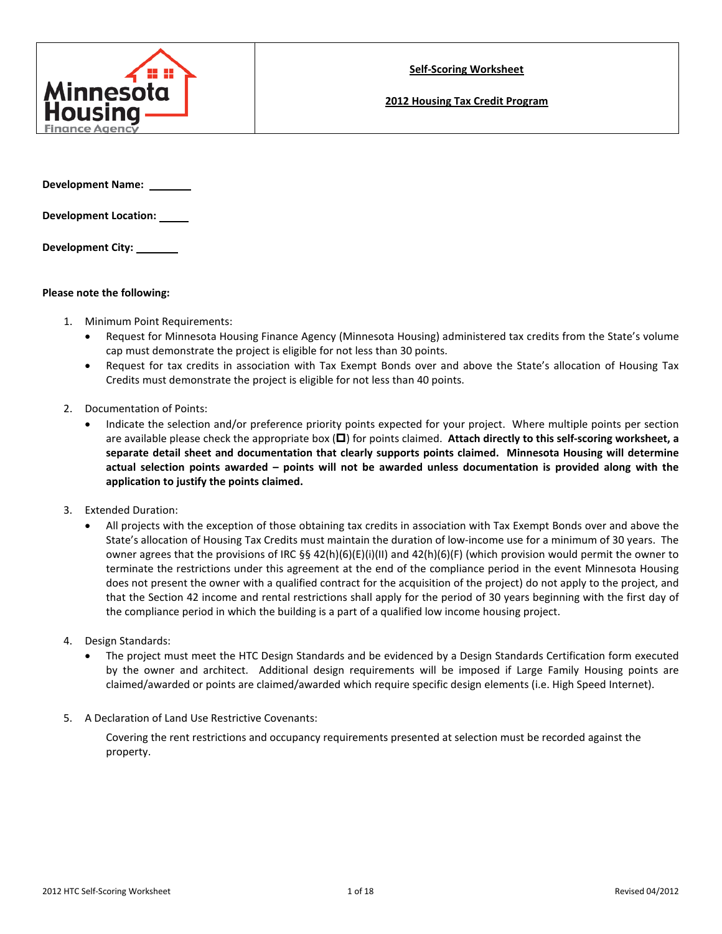

**2012 Housing Tax Credit Program**

**Development Name:** 

**Development Location:** 

**Development City:** 

### **Please note the following:**

- 1. Minimum Point Requirements:
	- Request for Minnesota Housing Finance Agency (Minnesota Housing) administered tax credits from the State's volume cap must demonstrate the project is eligible for not less than 30 points.
	- Request for tax credits in association with Tax Exempt Bonds over and above the State's allocation of Housing Tax Credits must demonstrate the project is eligible for not less than 40 points.
- 2. Documentation of Points:
	- Indicate the selection and/or preference priority points expected for your project. Where multiple points per section are available please check the appropriate box  $(\Box)$  for points claimed. Attach directly to this self-scoring worksheet, a **separate detail sheet and documentation that clearly supports points claimed. Minnesota Housing will determine actual selection points awarded – points will not be awarded unless documentation is provided along with the application to justify the points claimed.**
- 3. Extended Duration:
	- All projects with the exception of those obtaining tax credits in association with Tax Exempt Bonds over and above the State's allocation of Housing Tax Credits must maintain the duration of low-income use for a minimum of 30 years. The owner agrees that the provisions of IRC §§ 42(h)(6)(E)(i)(II) and 42(h)(6)(F) (which provision would permit the owner to terminate the restrictions under this agreement at the end of the compliance period in the event Minnesota Housing does not present the owner with a qualified contract for the acquisition of the project) do not apply to the project, and that the Section 42 income and rental restrictions shall apply for the period of 30 years beginning with the first day of the compliance period in which the building is a part of a qualified low income housing project.
- 4. Design Standards:
	- The project must meet the HTC Design Standards and be evidenced by a Design Standards Certification form executed by the owner and architect. Additional design requirements will be imposed if Large Family Housing points are claimed/awarded or points are claimed/awarded which require specific design elements (i.e. High Speed Internet).
- 5. A Declaration of Land Use Restrictive Covenants:

Covering the rent restrictions and occupancy requirements presented at selection must be recorded against the property.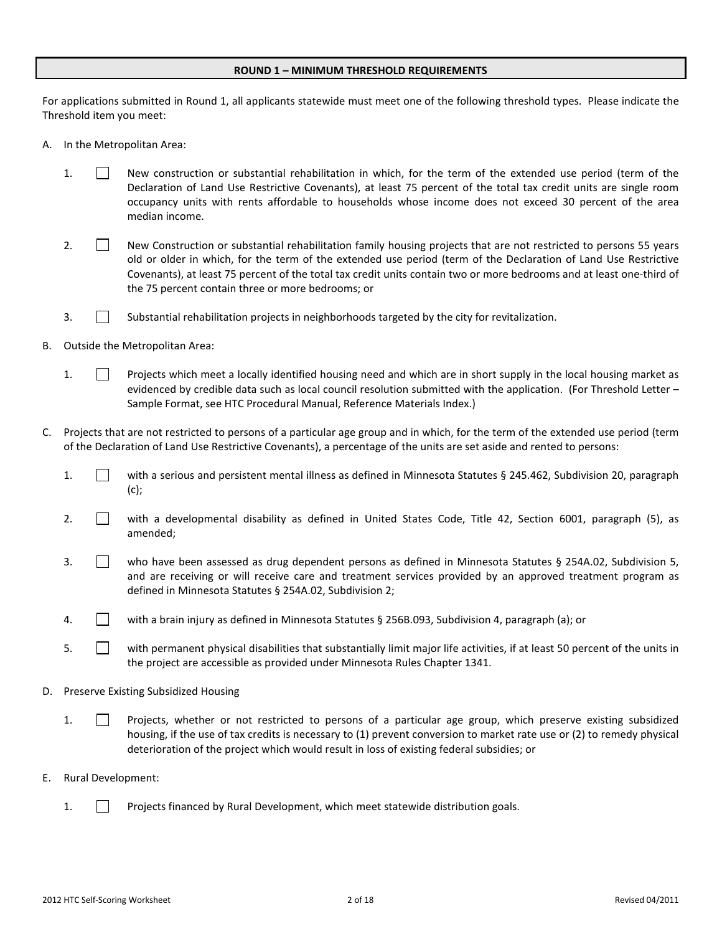#### **ROUND 1 – MINIMUM THRESHOLD REQUIREMENTS**

For applications submitted in Round 1, all applicants statewide must meet one of the following threshold types. Please indicate the Threshold item you meet:

- A. In the Metropolitan Area:
	- 1. New construction or substantial rehabilitation in which, for the term of the extended use period (term of the Declaration of Land Use Restrictive Covenants), at least 75 percent of the total tax credit units are single room occupancy units with rents affordable to households whose income does not exceed 30 percent of the area median income.
	- 2. New Construction or substantial rehabilitation family housing projects that are not restricted to persons 55 years old or older in which, for the term of the extended use period (term of the Declaration of Land Use Restrictive Covenants), at least 75 percent of the total tax credit units contain two or more bedrooms and at least one-third of the 75 percent contain three or more bedrooms; or
	- 3. **Substantial rehabilitation projects in neighborhoods targeted by the city for revitalization.**
- B. Outside the Metropolitan Area:
	- 1. Projects which meet a locally identified housing need and which are in short supply in the local housing market as evidenced by credible data such as local council resolution submitted with the application. (For Threshold Letter – Sample Format, see HTC Procedural Manual, Reference Materials Index.)
- C. Projects that are not restricted to persons of a particular age group and in which, for the term of the extended use period (term of the Declaration of Land Use Restrictive Covenants), a percentage of the units are set aside and rented to persons:
	- 1. with a serious and persistent mental illness as defined in Minnesota Statutes § 245.462, Subdivision 20, paragraph (c);
	- 2. With a developmental disability as defined in United States Code, Title 42, Section 6001, paragraph (5), as amended;
	- 3. Who have been assessed as drug dependent persons as defined in Minnesota Statutes § 254A.02, Subdivision 5, and are receiving or will receive care and treatment services provided by an approved treatment program as defined in Minnesota Statutes § 254A.02, Subdivision 2;
	- 4. With a brain injury as defined in Minnesota Statutes § 256B.093, Subdivision 4, paragraph (a); or
	- 5. With permanent physical disabilities that substantially limit major life activities, if at least 50 percent of the units in the project are accessible as provided under Minnesota Rules Chapter 1341.
- D. Preserve Existing Subsidized Housing
	- 1. **Projects, whether or not restricted to persons of a particular age group, which preserve existing subsidized** housing, if the use of tax credits is necessary to (1) prevent conversion to market rate use or (2) to remedy physical deterioration of the project which would result in loss of existing federal subsidies; or
- E. Rural Development:
	- 1. Projects financed by Rural Development, which meet statewide distribution goals.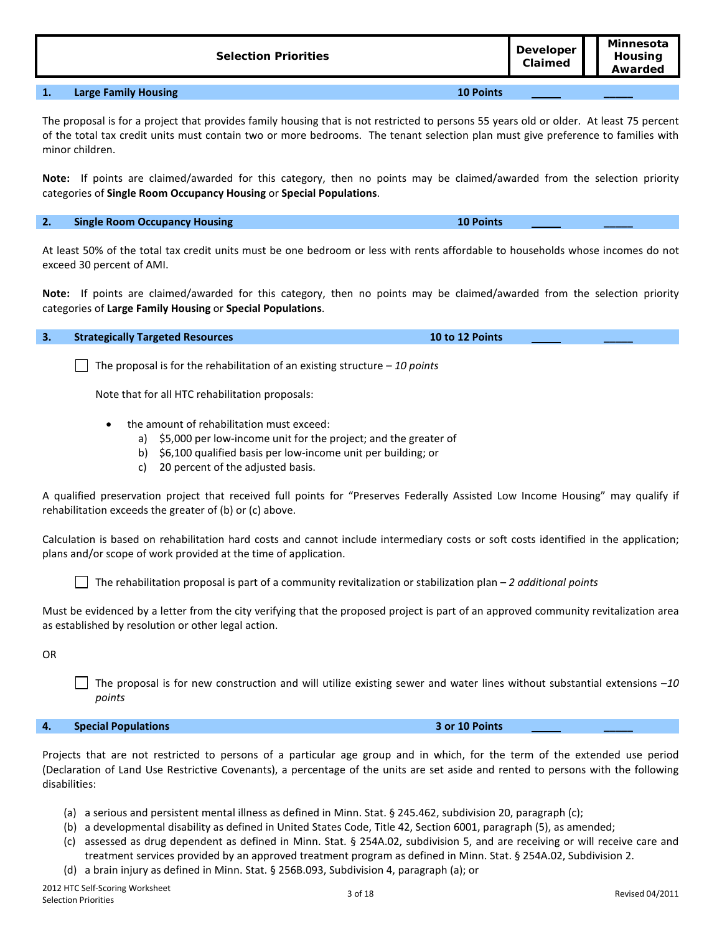**Selection Priorities Developer Developer Claimed Minnesota Housing Awarded**

# **1. Large Family Housing 10 Points \_\_\_\_\_**

The proposal is for a project that provides family housing that is not restricted to persons 55 years old or older. At least 75 percent of the total tax credit units must contain two or more bedrooms. The tenant selection plan must give preference to families with minor children.

**Note:** If points are claimed/awarded for this category, then no points may be claimed/awarded from the selection priority categories of **Single Room Occupancy Housing** or **Special Populations**.

# **2. Single Room Occupancy Housing 10 Points \_\_\_\_\_**

At least 50% of the total tax credit units must be one bedroom or less with rents affordable to households whose incomes do not exceed 30 percent of AMI.

**Note:** If points are claimed/awarded for this category, then no points may be claimed/awarded from the selection priority categories of **Large Family Housing** or **Special Populations**.

The proposal is for the rehabilitation of an existing structure – *10 points*

Note that for all HTC rehabilitation proposals:

- the amount of rehabilitation must exceed:
	- a) \$5,000 per low-income unit for the project; and the greater of
	- b) \$6,100 qualified basis per low-income unit per building; or
	- c) 20 percent of the adjusted basis.

A qualified preservation project that received full points for "Preserves Federally Assisted Low Income Housing" may qualify if rehabilitation exceeds the greater of (b) or (c) above.

Calculation is based on rehabilitation hard costs and cannot include intermediary costs or soft costs identified in the application; plans and/or scope of work provided at the time of application.

The rehabilitation proposal is part of a community revitalization or stabilization plan – *2 additional points*

Must be evidenced by a letter from the city verifying that the proposed project is part of an approved community revitalization area as established by resolution or other legal action.

OR

The proposal is for new construction and will utilize existing sewer and water lines without substantial extensions –*10 points*

# **4. Special Populations 3 or 10 Points \_\_\_\_\_**

Projects that are not restricted to persons of a particular age group and in which, for the term of the extended use period (Declaration of Land Use Restrictive Covenants), a percentage of the units are set aside and rented to persons with the following disabilities:

- (a) a serious and persistent mental illness as defined in Minn. Stat. § 245.462, subdivision 20, paragraph (c);
- (b) a developmental disability as defined in United States Code, Title 42, Section 6001, paragraph (5), as amended;
- (c) assessed as drug dependent as defined in Minn. Stat. § 254A.02, subdivision 5, and are receiving or will receive care and treatment services provided by an approved treatment program as defined in Minn. Stat. § 254A.02, Subdivision 2.
- (d) a brain injury as defined in Minn. Stat. § 256B.093, Subdivision 4, paragraph (a); or

**3. Strategically Targeted Resources 10 to 12 Points \_\_\_\_\_**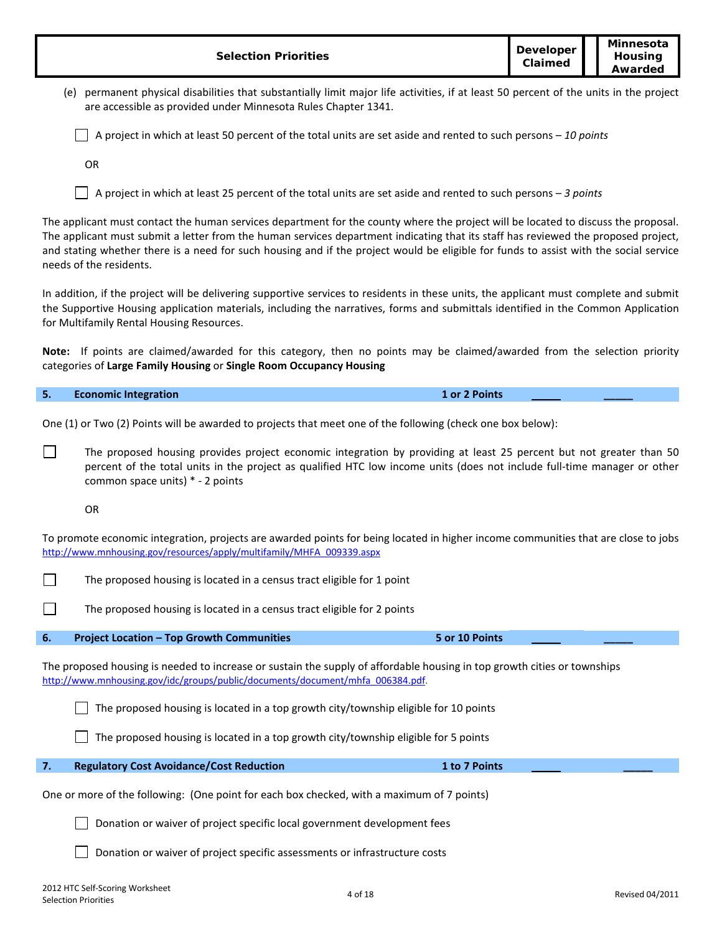| <b>Selection Priorities</b>                                                                                                                                                                                                                                                                                                                                                                                                                  | <b>Developer</b><br>Claimed | Minnesota<br>Housing<br>Awarded |  |
|----------------------------------------------------------------------------------------------------------------------------------------------------------------------------------------------------------------------------------------------------------------------------------------------------------------------------------------------------------------------------------------------------------------------------------------------|-----------------------------|---------------------------------|--|
| (e) permanent physical disabilities that substantially limit major life activities, if at least 50 percent of the units in the project<br>are accessible as provided under Minnesota Rules Chapter 1341.                                                                                                                                                                                                                                     |                             |                                 |  |
| A project in which at least 50 percent of the total units are set aside and rented to such persons - 10 points                                                                                                                                                                                                                                                                                                                               |                             |                                 |  |
| OR                                                                                                                                                                                                                                                                                                                                                                                                                                           |                             |                                 |  |
| A project in which at least 25 percent of the total units are set aside and rented to such persons $-3$ points                                                                                                                                                                                                                                                                                                                               |                             |                                 |  |
| The applicant must contact the human services department for the county where the project will be located to discuss the proposal.<br>The applicant must submit a letter from the human services department indicating that its staff has reviewed the proposed project,<br>and stating whether there is a need for such housing and if the project would be eligible for funds to assist with the social service<br>needs of the residents. |                             |                                 |  |
| In addition, if the project will be delivering supportive services to residents in these units, the applicant must complete and submit<br>the Supportive Housing application materials, including the narratives, forms and submittals identified in the Common Application<br>for Multifamily Rental Housing Resources.                                                                                                                     |                             |                                 |  |
| Note: If points are claimed/awarded for this category, then no points may be claimed/awarded from the selection priority<br>categories of Large Family Housing or Single Room Occupancy Housing                                                                                                                                                                                                                                              |                             |                                 |  |
| 5.<br><b>Economic Integration</b><br>1 or 2 Points                                                                                                                                                                                                                                                                                                                                                                                           |                             |                                 |  |
| One (1) or Two (2) Points will be awarded to projects that meet one of the following (check one box below):                                                                                                                                                                                                                                                                                                                                  |                             |                                 |  |
| The proposed housing provides project economic integration by providing at least 25 percent but not greater than 50<br>percent of the total units in the project as qualified HTC low income units (does not include full-time manager or other<br>common space units) * - 2 points                                                                                                                                                          |                             |                                 |  |
| OR                                                                                                                                                                                                                                                                                                                                                                                                                                           |                             |                                 |  |
| To promote economic integration, projects are awarded points for being located in higher income communities that are close to jobs<br>http://www.mnhousing.gov/resources/apply/multifamily/MHFA 009339.aspx                                                                                                                                                                                                                                  |                             |                                 |  |
| The proposed housing is located in a census tract eligible for 1 point                                                                                                                                                                                                                                                                                                                                                                       |                             |                                 |  |
| The proposed housing is located in a census tract eligible for 2 points                                                                                                                                                                                                                                                                                                                                                                      |                             |                                 |  |
| 5 or 10 Points<br><b>Project Location - Top Growth Communities</b><br>6.                                                                                                                                                                                                                                                                                                                                                                     |                             |                                 |  |
| The proposed housing is needed to increase or sustain the supply of affordable housing in top growth cities or townships<br>http://www.mnhousing.gov/idc/groups/public/documents/document/mhfa 006384.pdf.                                                                                                                                                                                                                                   |                             |                                 |  |
| The proposed housing is located in a top growth city/township eligible for 10 points                                                                                                                                                                                                                                                                                                                                                         |                             |                                 |  |
| The proposed housing is located in a top growth city/township eligible for 5 points                                                                                                                                                                                                                                                                                                                                                          |                             |                                 |  |
| 7.<br><b>Regulatory Cost Avoidance/Cost Reduction</b><br>1 to 7 Points                                                                                                                                                                                                                                                                                                                                                                       |                             |                                 |  |
| One or more of the following: (One point for each box checked, with a maximum of 7 points)                                                                                                                                                                                                                                                                                                                                                   |                             |                                 |  |
| Donation or waiver of project specific local government development fees                                                                                                                                                                                                                                                                                                                                                                     |                             |                                 |  |
| Donation or waiver of project specific assessments or infrastructure costs                                                                                                                                                                                                                                                                                                                                                                   |                             |                                 |  |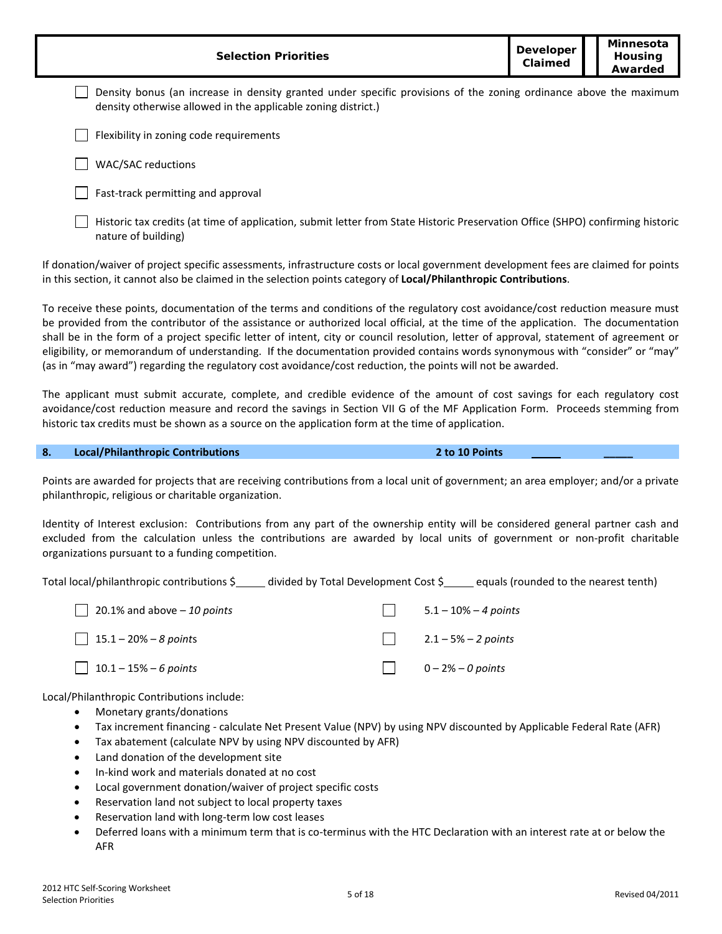| <b>Selection Priorities</b>                                                                                                                                                        |  | Minnesota<br>Housing<br>Awarded |
|------------------------------------------------------------------------------------------------------------------------------------------------------------------------------------|--|---------------------------------|
| Density bonus (an increase in density granted under specific provisions of the zoning ordinance above the maximum<br>density otherwise allowed in the applicable zoning district.) |  |                                 |
| Flexibility in zoning code requirements                                                                                                                                            |  |                                 |
| <b>WAC/SAC reductions</b>                                                                                                                                                          |  |                                 |
| Fast-track permitting and approval                                                                                                                                                 |  |                                 |

 $\Box$  Historic tax credits (at time of application, submit letter from State Historic Preservation Office (SHPO) confirming historic nature of building)

If donation/waiver of project specific assessments, infrastructure costs or local government development fees are claimed for points in this section, it cannot also be claimed in the selection points category of **Local/Philanthropic Contributions**.

To receive these points, documentation of the terms and conditions of the regulatory cost avoidance/cost reduction measure must be provided from the contributor of the assistance or authorized local official, at the time of the application. The documentation shall be in the form of a project specific letter of intent, city or council resolution, letter of approval, statement of agreement or eligibility, or memorandum of understanding. If the documentation provided contains words synonymous with "consider" or "may" (as in "may award") regarding the regulatory cost avoidance/cost reduction, the points will not be awarded.

The applicant must submit accurate, complete, and credible evidence of the amount of cost savings for each regulatory cost avoidance/cost reduction measure and record the savings in Section VII G of the MF Application Form. Proceeds stemming from historic tax credits must be shown as a source on the application form at the time of application.

#### **8. Local/Philanthropic Contributions 2 to 10 Points \_\_\_\_\_**

Points are awarded for projects that are receiving contributions from a local unit of government; an area employer; and/or a private philanthropic, religious or charitable organization.

Identity of Interest exclusion: Contributions from any part of the ownership entity will be considered general partner cash and excluded from the calculation unless the contributions are awarded by local units of government or non-profit charitable organizations pursuant to a funding competition.

Total local/philanthropic contributions \$<br>Individed by Total Development Cost \$ equals (rounded to the nearest tenth)

| 20.1% and above $-10$ points | $5.1 - 10\% - 4 \text{ points}$ |
|------------------------------|---------------------------------|
| $\Box$ 15.1 – 20% – 8 points | 2.1 – 5% – 2 points             |
| 10.1 – 15% – 6 points        | $0-2%$ - 0 points               |

Local/Philanthropic Contributions include:

- Monetary grants/donations
- Tax increment financing calculate Net Present Value (NPV) by using NPV discounted by Applicable Federal Rate (AFR)
- Tax abatement (calculate NPV by using NPV discounted by AFR)
- Land donation of the development site
- In-kind work and materials donated at no cost
- Local government donation/waiver of project specific costs
- Reservation land not subject to local property taxes
- Reservation land with long-term low cost leases
- Deferred loans with a minimum term that is co-terminus with the HTC Declaration with an interest rate at or below the AFR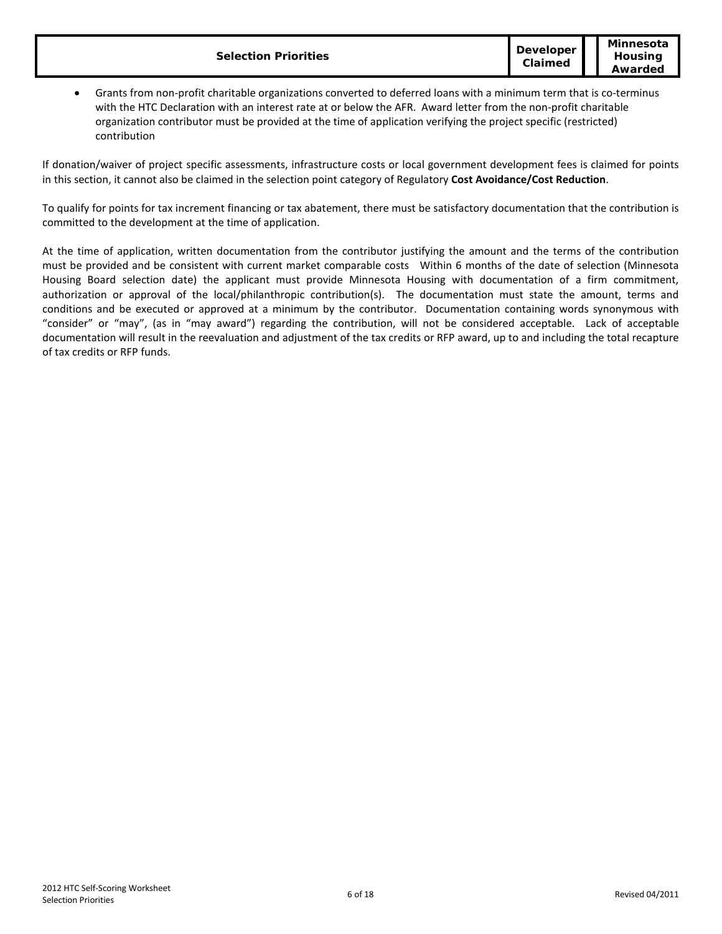|--|

• Grants from non-profit charitable organizations converted to deferred loans with a minimum term that is co-terminus with the HTC Declaration with an interest rate at or below the AFR. Award letter from the non-profit charitable organization contributor must be provided at the time of application verifying the project specific (restricted) contribution

If donation/waiver of project specific assessments, infrastructure costs or local government development fees is claimed for points in this section, it cannot also be claimed in the selection point category of Regulatory **Cost Avoidance/Cost Reduction**.

To qualify for points for tax increment financing or tax abatement, there must be satisfactory documentation that the contribution is committed to the development at the time of application.

At the time of application, written documentation from the contributor justifying the amount and the terms of the contribution must be provided and be consistent with current market comparable costs Within 6 months of the date of selection (Minnesota Housing Board selection date) the applicant must provide Minnesota Housing with documentation of a firm commitment, authorization or approval of the local/philanthropic contribution(s). The documentation must state the amount, terms and conditions and be executed or approved at a minimum by the contributor. Documentation containing words synonymous with "consider" or "may", (as in "may award") regarding the contribution, will not be considered acceptable. Lack of acceptable documentation will result in the reevaluation and adjustment of the tax credits or RFP award, up to and including the total recapture of tax credits or RFP funds.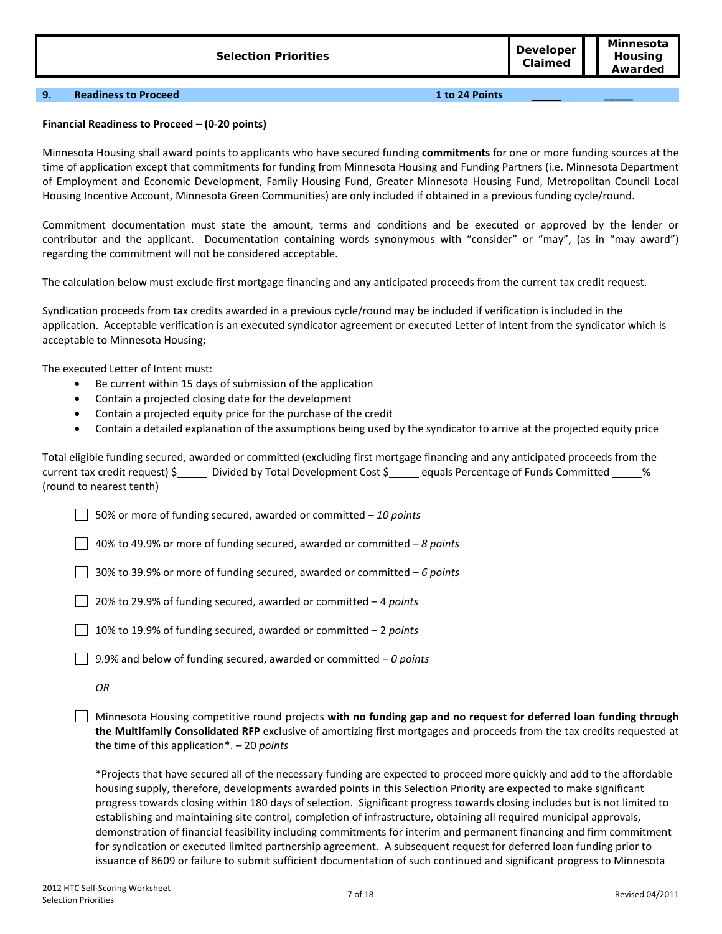#### **9. Readiness to Proceed 1 to 24 Points \_\_\_\_\_**

# **Financial Readiness to Proceed – (0-20 points)**

Minnesota Housing shall award points to applicants who have secured funding **commitments** for one or more funding sources at the time of application except that commitments for funding from Minnesota Housing and Funding Partners (i.e. Minnesota Department of Employment and Economic Development, Family Housing Fund, Greater Minnesota Housing Fund, Metropolitan Council Local Housing Incentive Account, Minnesota Green Communities) are only included if obtained in a previous funding cycle/round.

Commitment documentation must state the amount, terms and conditions and be executed or approved by the lender or contributor and the applicant. Documentation containing words synonymous with "consider" or "may", (as in "may award") regarding the commitment will not be considered acceptable.

The calculation below must exclude first mortgage financing and any anticipated proceeds from the current tax credit request.

Syndication proceeds from tax credits awarded in a previous cycle/round may be included if verification is included in the application. Acceptable verification is an executed syndicator agreement or executed Letter of Intent from the syndicator which is acceptable to Minnesota Housing;

The executed Letter of Intent must:

- Be current within 15 days of submission of the application
- Contain a projected closing date for the development
- Contain a projected equity price for the purchase of the credit
- Contain a detailed explanation of the assumptions being used by the syndicator to arrive at the projected equity price

Total eligible funding secured, awarded or committed (excluding first mortgage financing and any anticipated proceeds from the current tax credit request) \$ Divided by Total Development Cost \$ equals Percentage of Funds Committed \_\_\_\_\_ % (round to nearest tenth)

50% or more of funding secured, awarded or committed – *10 points*

40% to 49.9% or more of funding secured, awarded or committed – *8 points*

30% to 39.9% or more of funding secured, awarded or committed – *6 points*

20% to 29.9% of funding secured, awarded or committed – 4 *points*

10% to 19.9% of funding secured, awarded or committed – 2 *points*

9.9% and below of funding secured, awarded or committed – *0 points*

Minnesota Housing competitive round projects **with no funding gap and no request for deferred loan funding through the Multifamily Consolidated RFP** exclusive of amortizing first mortgages and proceeds from the tax credits requested at the time of this application\*. – 20 *points*

\*Projects that have secured all of the necessary funding are expected to proceed more quickly and add to the affordable housing supply, therefore, developments awarded points in this Selection Priority are expected to make significant progress towards closing within 180 days of selection. Significant progress towards closing includes but is not limited to establishing and maintaining site control, completion of infrastructure, obtaining all required municipal approvals, demonstration of financial feasibility including commitments for interim and permanent financing and firm commitment for syndication or executed limited partnership agreement. A subsequent request for deferred loan funding prior to issuance of 8609 or failure to submit sufficient documentation of such continued and significant progress to Minnesota

*OR*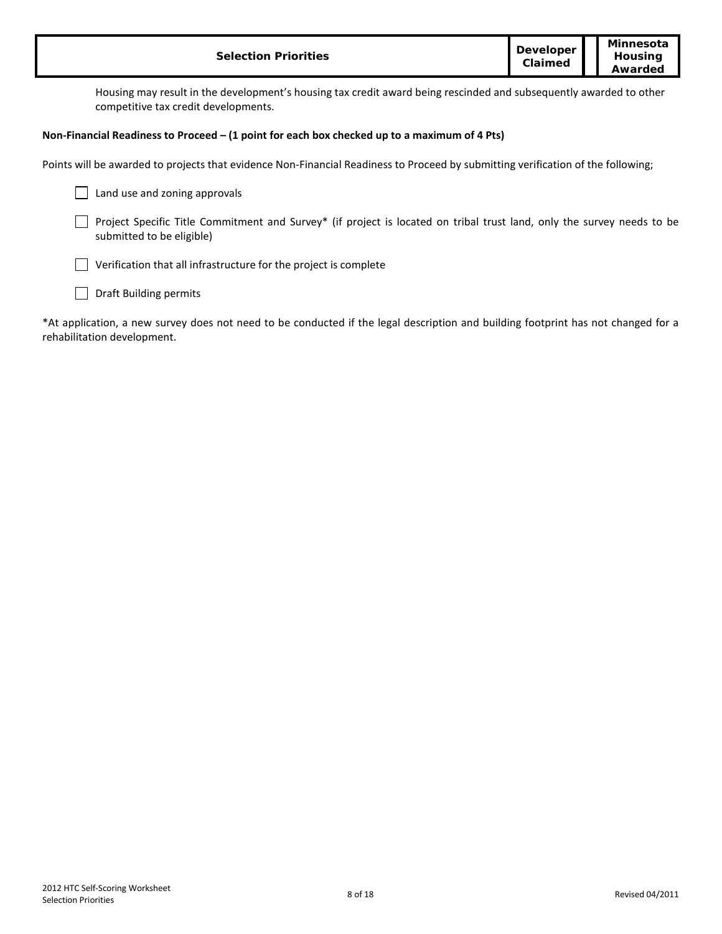| <b>Selection Priorities</b>                                                                                                                                | <b>Developer</b><br>Claimed | Minnesota<br>Housing<br>Awarded |
|------------------------------------------------------------------------------------------------------------------------------------------------------------|-----------------------------|---------------------------------|
| Housing may result in the development's housing tax credit award being rescinded and subsequently awarded to other<br>competitive tax credit developments. |                             |                                 |
| Non-Financial Readiness to Proceed $-$ (1 point for each box checked up to a maximum of 4 Pts)                                                             |                             |                                 |
| Points will be awarded to projects that evidence Non-Financial Readiness to Proceed by submitting verification of the following;                           |                             |                                 |
| Land use and zoning approvals                                                                                                                              |                             |                                 |
| Project Specific Title Commitment and Survey* (if project is located on tribal trust land, only the survey needs to be<br>submitted to be eligible)        |                             |                                 |
| Verification that all infrastructure for the project is complete                                                                                           |                             |                                 |
| <b>Draft Building permits</b>                                                                                                                              |                             |                                 |

\*At application, a new survey does not need to be conducted if the legal description and building footprint has not changed for a rehabilitation development.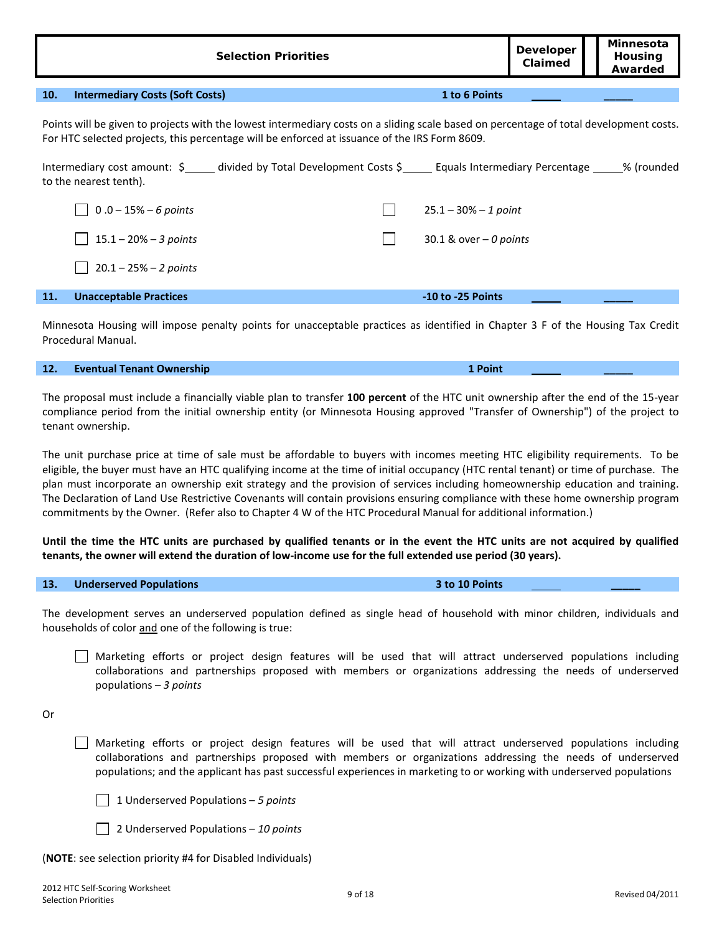| <b>Selection Priorities</b>                                                                                                                                                                                                             |                          | <b>Developer</b><br>Claimed | <b>Minnesota</b><br>Housing<br>Awarded |
|-----------------------------------------------------------------------------------------------------------------------------------------------------------------------------------------------------------------------------------------|--------------------------|-----------------------------|----------------------------------------|
| 10.<br><b>Intermediary Costs (Soft Costs)</b>                                                                                                                                                                                           | 1 to 6 Points            |                             |                                        |
| Points will be given to projects with the lowest intermediary costs on a sliding scale based on percentage of total development costs.<br>For HTC selected projects, this percentage will be enforced at issuance of the IRS Form 8609. |                          |                             |                                        |
| Intermediary cost amount: \$_____ divided by Total Development Costs \$_____ Equals Intermediary Percentage _____% (rounded<br>to the nearest tenth).                                                                                   |                          |                             |                                        |
| $0.0 - 15\% - 6$ points                                                                                                                                                                                                                 | $25.1 - 30\% - 1$ point  |                             |                                        |
| $15.1 - 20\% - 3$ points                                                                                                                                                                                                                | 30.1 & over $-$ 0 points |                             |                                        |
| $20.1 - 25\% - 2$ points                                                                                                                                                                                                                |                          |                             |                                        |
| <b>Unacceptable Practices</b><br>11.                                                                                                                                                                                                    | $-10$ to $-25$ Points    |                             |                                        |

Minnesota Housing will impose penalty points for unacceptable practices as identified in Chapter 3 F of the Housing Tax Credit Procedural Manual.

#### **12. Eventual Tenant Ownership 1 Point \_\_\_\_\_**

The proposal must include a financially viable plan to transfer **100 percent** of the HTC unit ownership after the end of the 15-year compliance period from the initial ownership entity (or Minnesota Housing approved "Transfer of Ownership") of the project to tenant ownership.

The unit purchase price at time of sale must be affordable to buyers with incomes meeting HTC eligibility requirements. To be eligible, the buyer must have an HTC qualifying income at the time of initial occupancy (HTC rental tenant) or time of purchase. The plan must incorporate an ownership exit strategy and the provision of services including homeownership education and training. The Declaration of Land Use Restrictive Covenants will contain provisions ensuring compliance with these home ownership program commitments by the Owner. (Refer also to Chapter 4 W of the HTC Procedural Manual for additional information.)

**Until the time the HTC units are purchased by qualified tenants or in the event the HTC units are not acquired by qualified tenants, the owner will extend the duration of low-income use for the full extended use period (30 years).**

The development serves an underserved population defined as single head of household with minor children, individuals and

# households of color and one of the following is true:

Marketing efforts or project design features will be used that will attract underserved populations including collaborations and partnerships proposed with members or organizations addressing the needs of underserved populations – *3 points*

Or

Marketing efforts or project design features will be used that will attract underserved populations including collaborations and partnerships proposed with members or organizations addressing the needs of underserved populations; and the applicant has past successful experiences in marketing to or working with underserved populations

1 Underserved Populations – *5 points*

2 Underserved Populations – *10 points*

(**NOTE**: see selection priority #4 for Disabled Individuals)

**13. Underserved Populations 3 to 10 Points \_\_\_\_\_**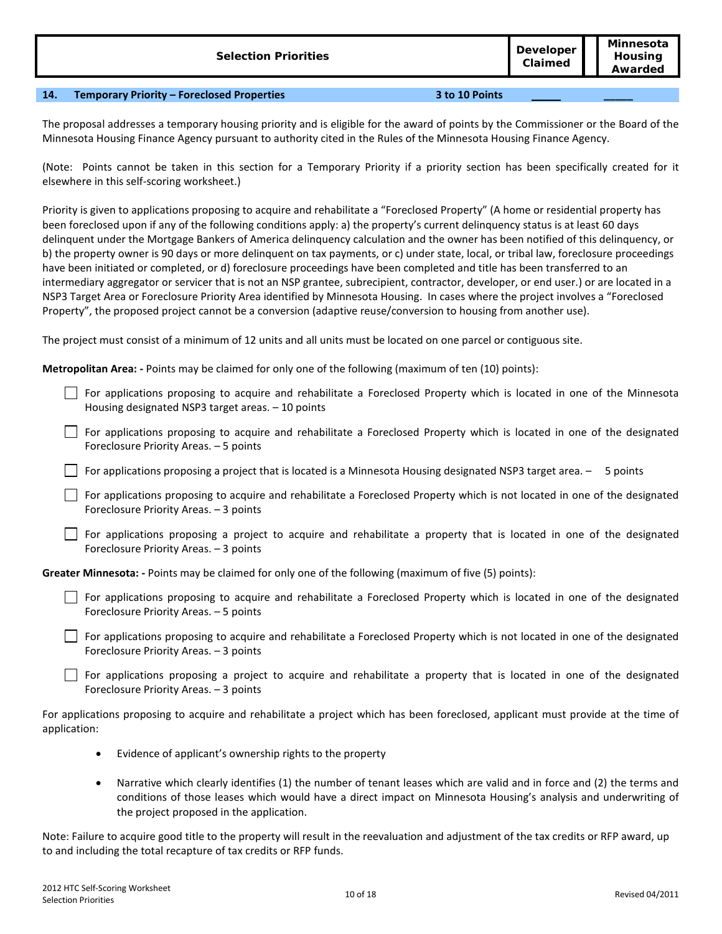| <b>Selection Priorities</b> | <b>Developer</b><br>Claimed | Minnesota<br><b>Housing</b><br>Awarded |
|-----------------------------|-----------------------------|----------------------------------------|
|                             |                             |                                        |

# **14. Temporary Priority – Foreclosed Properties 3 to 10 Points \_\_\_\_\_**

The proposal addresses a temporary housing priority and is eligible for the award of points by the Commissioner or the Board of the Minnesota Housing Finance Agency pursuant to authority cited in the Rules of the Minnesota Housing Finance Agency.

(Note: Points cannot be taken in this section for a Temporary Priority if a priority section has been specifically created for it elsewhere in this self-scoring worksheet.)

Priority is given to applications proposing to acquire and rehabilitate a "Foreclosed Property" (A home or residential property has been foreclosed upon if any of the following conditions apply: a) the property's current delinquency status is at least 60 days delinquent under the Mortgage Bankers of America delinquency calculation and the owner has been notified of this delinquency, or b) the property owner is 90 days or more delinquent on tax payments, or c) under state, local, or tribal law, foreclosure proceedings have been initiated or completed, or d) foreclosure proceedings have been completed and title has been transferred to an intermediary aggregator or servicer that is not an NSP grantee, subrecipient, contractor, developer, or end user.) or are located in a NSP3 Target Area or Foreclosure Priority Area identified by Minnesota Housing. In cases where the project involves a "Foreclosed Property", the proposed project cannot be a conversion (adaptive reuse/conversion to housing from another use).

The project must consist of a minimum of 12 units and all units must be located on one parcel or contiguous site.

**Metropolitan Area: -** Points may be claimed for only one of the following (maximum of ten (10) points):

 $\Box$  For applications proposing to acquire and rehabilitate a Foreclosed Property which is located in one of the Minnesota Housing designated NSP3 target areas. – 10 points

For applications proposing to acquire and rehabilitate a Foreclosed Property which is located in one of the designated Foreclosure Priority Areas. – 5 points

For applications proposing a project that is located is a Minnesota Housing designated NSP3 target area. – 5 points

For applications proposing to acquire and rehabilitate a Foreclosed Property which is not located in one of the designated Foreclosure Priority Areas. – 3 points

 $\Box$  For applications proposing a project to acquire and rehabilitate a property that is located in one of the designated Foreclosure Priority Areas. – 3 points

**Greater Minnesota: -** Points may be claimed for only one of the following (maximum of five (5) points):

For applications proposing to acquire and rehabilitate a Foreclosed Property which is located in one of the designated Foreclosure Priority Areas. – 5 points

For applications proposing to acquire and rehabilitate a Foreclosed Property which is not located in one of the designated Foreclosure Priority Areas. – 3 points

For applications proposing a project to acquire and rehabilitate a property that is located in one of the designated Foreclosure Priority Areas. – 3 points

For applications proposing to acquire and rehabilitate a project which has been foreclosed, applicant must provide at the time of application:

- Evidence of applicant's ownership rights to the property
- Narrative which clearly identifies (1) the number of tenant leases which are valid and in force and (2) the terms and conditions of those leases which would have a direct impact on Minnesota Housing's analysis and underwriting of the project proposed in the application.

Note: Failure to acquire good title to the property will result in the reevaluation and adjustment of the tax credits or RFP award, up to and including the total recapture of tax credits or RFP funds.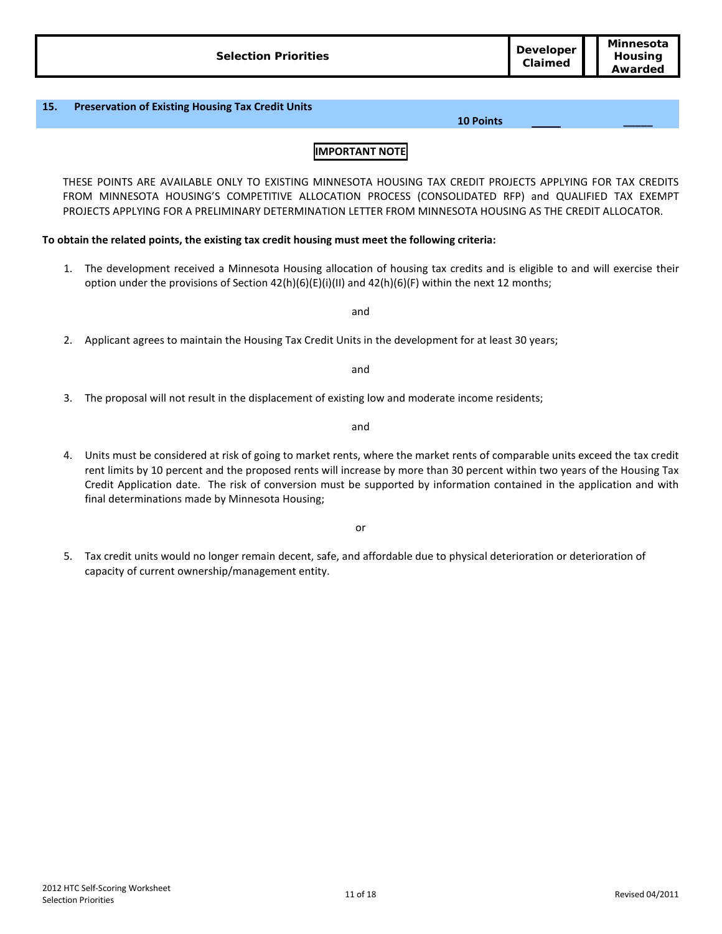THESE POINTS ARE AVAILABLE ONLY TO EXISTING MINNESOTA HOUSING TAX CREDIT PROJECTS APPLYING FOR TAX CREDITS FROM MINNESOTA HOUSING'S COMPETITIVE ALLOCATION PROCESS (CONSOLIDATED RFP) and QUALIFIED TAX EXEMPT PROJECTS APPLYING FOR A PRELIMINARY DETERMINATION LETTER FROM MINNESOTA HOUSING AS THE CREDIT ALLOCATOR.

# **To obtain the related points, the existing tax credit housing must meet the following criteria:**

1. The development received a Minnesota Housing allocation of housing tax credits and is eligible to and will exercise their option under the provisions of Section  $42(h)(6)(E)(i)(II)$  and  $42(h)(6)(F)$  within the next 12 months;

and

2. Applicant agrees to maintain the Housing Tax Credit Units in the development for at least 30 years;

and

3. The proposal will not result in the displacement of existing low and moderate income residents;

and

4. Units must be considered at risk of going to market rents, where the market rents of comparable units exceed the tax credit rent limits by 10 percent and the proposed rents will increase by more than 30 percent within two years of the Housing Tax Credit Application date. The risk of conversion must be supported by information contained in the application and with final determinations made by Minnesota Housing;

or

5. Tax credit units would no longer remain decent, safe, and affordable due to physical deterioration or deterioration of capacity of current ownership/management entity.

**10 Points \_\_\_\_\_**

**Claimed**

**15. Preservation of Existing Housing Tax Credit Units**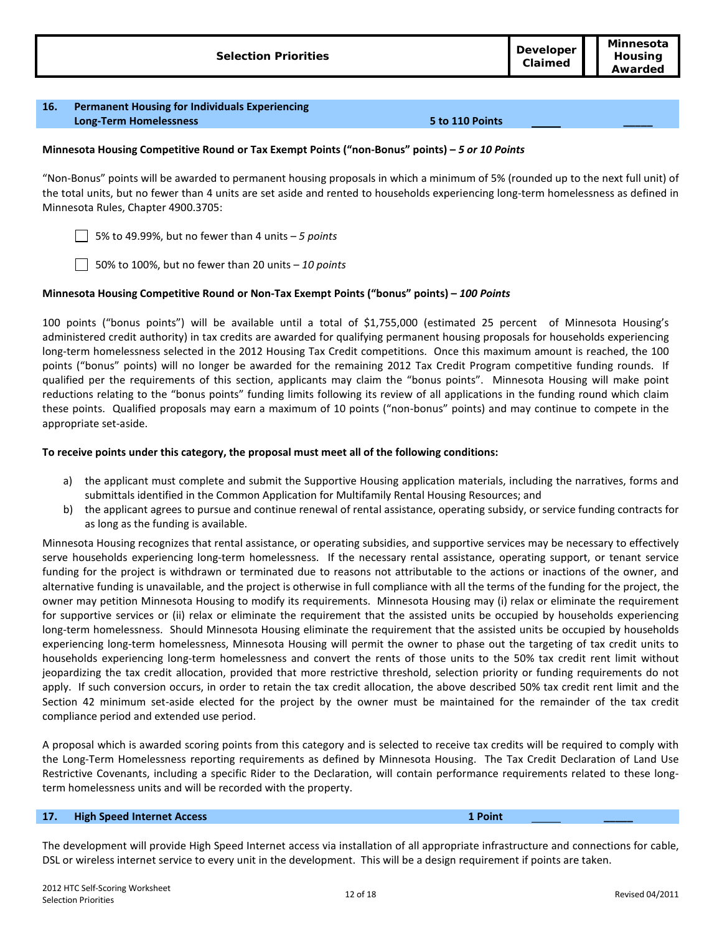| Minnesota<br><b>Developer</b><br><b>Housing</b><br><b>Selection Priorities</b><br>Claimed<br>Awarded |  |
|------------------------------------------------------------------------------------------------------|--|
|------------------------------------------------------------------------------------------------------|--|

#### **16. Permanent Housing for Individuals Experiencing Long-Term Homelessness 5 to 110 Points \_\_\_\_\_**

# **Minnesota Housing Competitive Round or Tax Exempt Points ("non-Bonus" points) –** *5 or 10 Points*

"Non-Bonus" points will be awarded to permanent housing proposals in which a minimum of 5% (rounded up to the next full unit) of the total units, but no fewer than 4 units are set aside and rented to households experiencing long-term homelessness as defined in Minnesota Rules, Chapter 4900.3705:

5% to 49.99%, but no fewer than 4 units – *5 points*

50% to 100%, but no fewer than 20 units – *10 points*

### **Minnesota Housing Competitive Round or Non-Tax Exempt Points ("bonus" points) –** *100 Points*

100 points ("bonus points") will be available until a total of \$1,755,000 (estimated 25 percent of Minnesota Housing's administered credit authority) in tax credits are awarded for qualifying permanent housing proposals for households experiencing long-term homelessness selected in the 2012 Housing Tax Credit competitions. Once this maximum amount is reached, the 100 points ("bonus" points) will no longer be awarded for the remaining 2012 Tax Credit Program competitive funding rounds. If qualified per the requirements of this section, applicants may claim the "bonus points". Minnesota Housing will make point reductions relating to the "bonus points" funding limits following its review of all applications in the funding round which claim these points. Qualified proposals may earn a maximum of 10 points ("non-bonus" points) and may continue to compete in the appropriate set-aside.

### **To receive points under this category, the proposal must meet all of the following conditions:**

- a) the applicant must complete and submit the Supportive Housing application materials, including the narratives, forms and submittals identified in the Common Application for Multifamily Rental Housing Resources; and
- b) the applicant agrees to pursue and continue renewal of rental assistance, operating subsidy, or service funding contracts for as long as the funding is available.

Minnesota Housing recognizes that rental assistance, or operating subsidies, and supportive services may be necessary to effectively serve households experiencing long-term homelessness. If the necessary rental assistance, operating support, or tenant service funding for the project is withdrawn or terminated due to reasons not attributable to the actions or inactions of the owner, and alternative funding is unavailable, and the project is otherwise in full compliance with all the terms of the funding for the project, the owner may petition Minnesota Housing to modify its requirements. Minnesota Housing may (i) relax or eliminate the requirement for supportive services or (ii) relax or eliminate the requirement that the assisted units be occupied by households experiencing long-term homelessness. Should Minnesota Housing eliminate the requirement that the assisted units be occupied by households experiencing long-term homelessness, Minnesota Housing will permit the owner to phase out the targeting of tax credit units to households experiencing long-term homelessness and convert the rents of those units to the 50% tax credit rent limit without jeopardizing the tax credit allocation, provided that more restrictive threshold, selection priority or funding requirements do not apply. If such conversion occurs, in order to retain the tax credit allocation, the above described 50% tax credit rent limit and the Section 42 minimum set-aside elected for the project by the owner must be maintained for the remainder of the tax credit compliance period and extended use period.

A proposal which is awarded scoring points from this category and is selected to receive tax credits will be required to comply with the Long-Term Homelessness reporting requirements as defined by Minnesota Housing. The Tax Credit Declaration of Land Use Restrictive Covenants, including a specific Rider to the Declaration, will contain performance requirements related to these longterm homelessness units and will be recorded with the property.

### **17. High Speed Internet Access 1 Point \_\_\_\_\_**

The development will provide High Speed Internet access via installation of all appropriate infrastructure and connections for cable, DSL or wireless internet service to every unit in the development. This will be a design requirement if points are taken.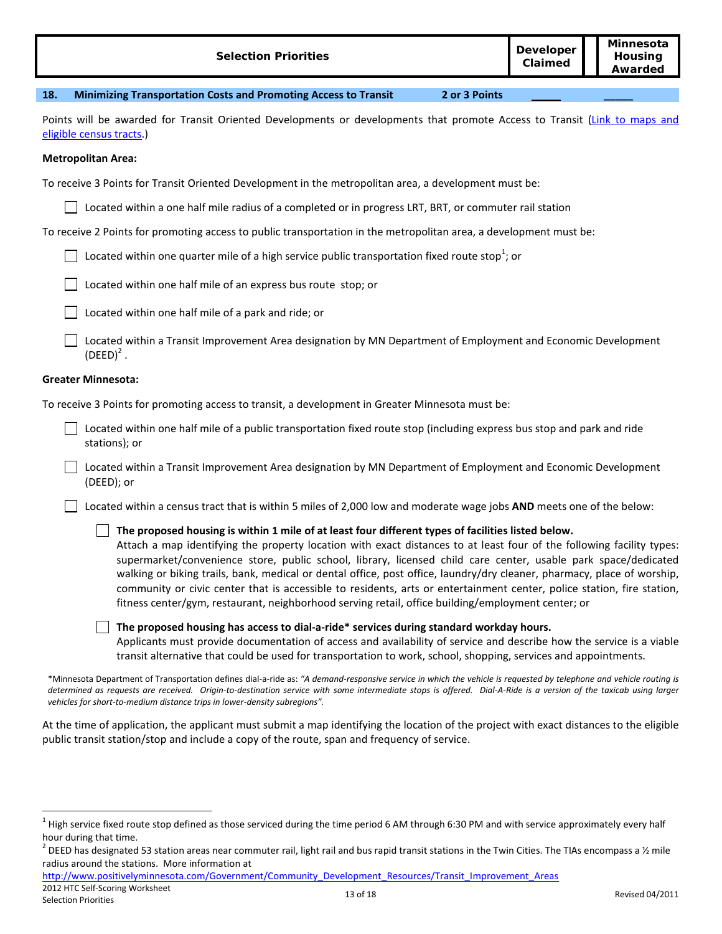| <b>Selection Priorities</b>                                                                                                                                                                                                                                                                                                                                                                                                                                                                                                                                                                                                                                                                              | <b>Developer</b><br>Claimed | Minnesota<br>Housing<br>Awarded |  |
|----------------------------------------------------------------------------------------------------------------------------------------------------------------------------------------------------------------------------------------------------------------------------------------------------------------------------------------------------------------------------------------------------------------------------------------------------------------------------------------------------------------------------------------------------------------------------------------------------------------------------------------------------------------------------------------------------------|-----------------------------|---------------------------------|--|
| 18.<br><b>Minimizing Transportation Costs and Promoting Access to Transit</b><br>2 or 3 Points                                                                                                                                                                                                                                                                                                                                                                                                                                                                                                                                                                                                           |                             |                                 |  |
| Points will be awarded for Transit Oriented Developments or developments that promote Access to Transit (Link to maps and<br>eligible census tracts.)                                                                                                                                                                                                                                                                                                                                                                                                                                                                                                                                                    |                             |                                 |  |
| <b>Metropolitan Area:</b>                                                                                                                                                                                                                                                                                                                                                                                                                                                                                                                                                                                                                                                                                |                             |                                 |  |
| To receive 3 Points for Transit Oriented Development in the metropolitan area, a development must be:                                                                                                                                                                                                                                                                                                                                                                                                                                                                                                                                                                                                    |                             |                                 |  |
| Located within a one half mile radius of a completed or in progress LRT, BRT, or commuter rail station                                                                                                                                                                                                                                                                                                                                                                                                                                                                                                                                                                                                   |                             |                                 |  |
| To receive 2 Points for promoting access to public transportation in the metropolitan area, a development must be:                                                                                                                                                                                                                                                                                                                                                                                                                                                                                                                                                                                       |                             |                                 |  |
| Located within one quarter mile of a high service public transportation fixed route stop <sup>1</sup> ; or                                                                                                                                                                                                                                                                                                                                                                                                                                                                                                                                                                                               |                             |                                 |  |
| Located within one half mile of an express bus route stop; or                                                                                                                                                                                                                                                                                                                                                                                                                                                                                                                                                                                                                                            |                             |                                 |  |
| Located within one half mile of a park and ride; or                                                                                                                                                                                                                                                                                                                                                                                                                                                                                                                                                                                                                                                      |                             |                                 |  |
| Located within a Transit Improvement Area designation by MN Department of Employment and Economic Development<br>$(DEED)^2$ .                                                                                                                                                                                                                                                                                                                                                                                                                                                                                                                                                                            |                             |                                 |  |
| <b>Greater Minnesota:</b>                                                                                                                                                                                                                                                                                                                                                                                                                                                                                                                                                                                                                                                                                |                             |                                 |  |
| To receive 3 Points for promoting access to transit, a development in Greater Minnesota must be:                                                                                                                                                                                                                                                                                                                                                                                                                                                                                                                                                                                                         |                             |                                 |  |
| Located within one half mile of a public transportation fixed route stop (including express bus stop and park and ride<br>stations); or                                                                                                                                                                                                                                                                                                                                                                                                                                                                                                                                                                  |                             |                                 |  |
| Located within a Transit Improvement Area designation by MN Department of Employment and Economic Development<br>(DEED); or                                                                                                                                                                                                                                                                                                                                                                                                                                                                                                                                                                              |                             |                                 |  |
| Located within a census tract that is within 5 miles of 2,000 low and moderate wage jobs AND meets one of the below:                                                                                                                                                                                                                                                                                                                                                                                                                                                                                                                                                                                     |                             |                                 |  |
| The proposed housing is within 1 mile of at least four different types of facilities listed below.<br>Attach a map identifying the property location with exact distances to at least four of the following facility types:<br>supermarket/convenience store, public school, library, licensed child care center, usable park space/dedicated<br>walking or biking trails, bank, medical or dental office, post office, laundry/dry cleaner, pharmacy, place of worship,<br>community or civic center that is accessible to residents, arts or entertainment center, police station, fire station,<br>fitness center/gym, restaurant, neighborhood serving retail, office building/employment center; or |                             |                                 |  |
| The proposed housing has access to dial-a-ride* services during standard workday hours.<br>Applicants must provide documentation of access and availability of service and describe how the service is a viable<br>transit alternative that could be used for transportation to work, school, shopping, services and appointments.                                                                                                                                                                                                                                                                                                                                                                       |                             |                                 |  |
| *Minnesota Department of Transportation defines dial-a-ride as: "A demand-responsive service in which the vehicle is requested by telephone and vehicle routing is<br>determined as requests are resolved. Origin to destination service with some intermediate stars is offered. Dial A Bide is a version of the taxisch using larger                                                                                                                                                                                                                                                                                                                                                                   |                             |                                 |  |

[http://www.positivelyminnesota.com/Government/Community\\_Development\\_Resources/Transit\\_Improvement\\_Areas](http://www.positivelyminnesota.com/Government/Community_Development_Resources/Transit_Improvement_Areas)

determined as requests are received. Origin-to-destination service with some intermediate stops is offered. Dial-A-Ride is a version of the taxicab using larger *vehicles for short-to-medium distance trips in lower-density subregions".*

At the time of application, the applicant must submit a map identifying the location of the project with exact distances to the eligible public transit station/stop and include a copy of the route, span and frequency of service.

 $1$  High service fixed route stop defined as those serviced during the time period 6 AM through 6:30 PM and with service approximately every half hour during that time.

<sup>&</sup>lt;sup>2</sup> DEED has designated 53 station areas near commuter rail, light rail and bus rapid transit stations in the Twin Cities. The TIAs encompass a ½ mile radius around the stations. More information at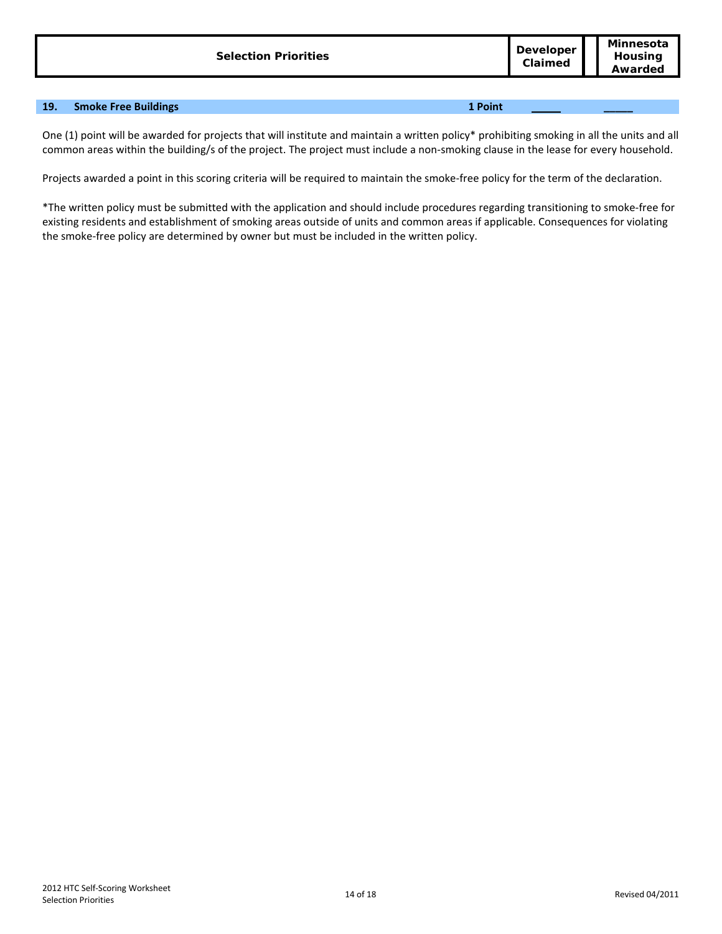| <b>Selection Priorities</b> | <b>Developer</b><br>Claimed | Minnesota<br>Housina<br>Awarded |
|-----------------------------|-----------------------------|---------------------------------|
|                             |                             |                                 |

# **19. Smoke Free Buildings 1 Point \_\_\_\_\_**

One (1) point will be awarded for projects that will institute and maintain a written policy\* prohibiting smoking in all the units and all common areas within the building/s of the project. The project must include a non-smoking clause in the lease for every household.

Projects awarded a point in this scoring criteria will be required to maintain the smoke-free policy for the term of the declaration.

\*The written policy must be submitted with the application and should include procedures regarding transitioning to smoke-free for existing residents and establishment of smoking areas outside of units and common areas if applicable. Consequences for violating the smoke-free policy are determined by owner but must be included in the written policy.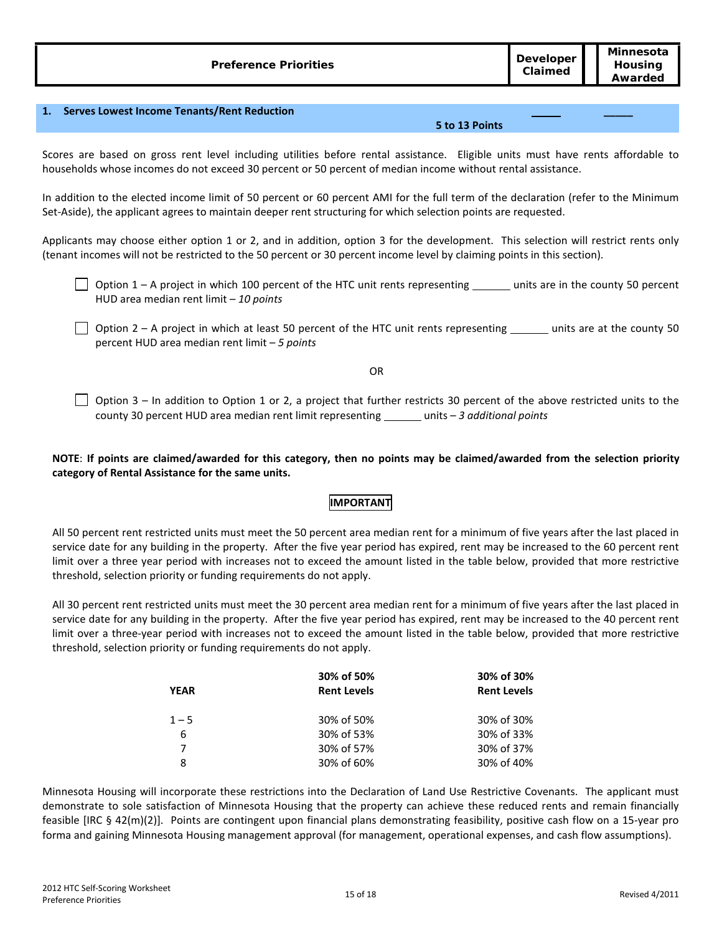|--|

### **1. Serves Lowest Income Tenants/Rent Reduction**

#### **5 to 13 Points**

**\_\_\_\_\_**

Scores are based on gross rent level including utilities before rental assistance. Eligible units must have rents affordable to households whose incomes do not exceed 30 percent or 50 percent of median income without rental assistance.

In addition to the elected income limit of 50 percent or 60 percent AMI for the full term of the declaration (refer to the Minimum Set-Aside), the applicant agrees to maintain deeper rent structuring for which selection points are requested.

Applicants may choose either option 1 or 2, and in addition, option 3 for the development. This selection will restrict rents only (tenant incomes will not be restricted to the 50 percent or 30 percent income level by claiming points in this section).

- $\Box$  Option 1 A project in which 100 percent of the HTC unit rents representing  $\Box$  units are in the county 50 percent HUD area median rent limit – *10 points*
- $\Box$  Option 2 A project in which at least 50 percent of the HTC unit rents representing  $\Box$  units are at the county 50 percent HUD area median rent limit – *5 points*

OR

 $\Box$  Option 3 – In addition to Option 1 or 2, a project that further restricts 30 percent of the above restricted units to the county 30 percent HUD area median rent limit representing \_\_\_\_\_\_\_ units - 3 additional points

# **NOTE**: **If points are claimed/awarded for this category, then no points may be claimed/awarded from the selection priority category of Rental Assistance for the same units.**

# **IMPORTANT**

All 50 percent rent restricted units must meet the 50 percent area median rent for a minimum of five years after the last placed in service date for any building in the property. After the five year period has expired, rent may be increased to the 60 percent rent limit over a three year period with increases not to exceed the amount listed in the table below, provided that more restrictive threshold, selection priority or funding requirements do not apply.

All 30 percent rent restricted units must meet the 30 percent area median rent for a minimum of five years after the last placed in service date for any building in the property. After the five year period has expired, rent may be increased to the 40 percent rent limit over a three-year period with increases not to exceed the amount listed in the table below, provided that more restrictive threshold, selection priority or funding requirements do not apply.

| <b>YEAR</b> | 30% of 50%<br><b>Rent Levels</b> | 30% of 30%<br><b>Rent Levels</b> |
|-------------|----------------------------------|----------------------------------|
| $1 - 5$     | 30% of 50%                       | 30% of 30%                       |
| 6           | 30% of 53%                       | 30% of 33%                       |
| 7           | 30% of 57%                       | 30% of 37%                       |
| 8           | 30% of 60%                       | 30% of 40%                       |

Minnesota Housing will incorporate these restrictions into the Declaration of Land Use Restrictive Covenants. The applicant must demonstrate to sole satisfaction of Minnesota Housing that the property can achieve these reduced rents and remain financially feasible [IRC § 42(m)(2)]. Points are contingent upon financial plans demonstrating feasibility, positive cash flow on a 15-year pro forma and gaining Minnesota Housing management approval (for management, operational expenses, and cash flow assumptions).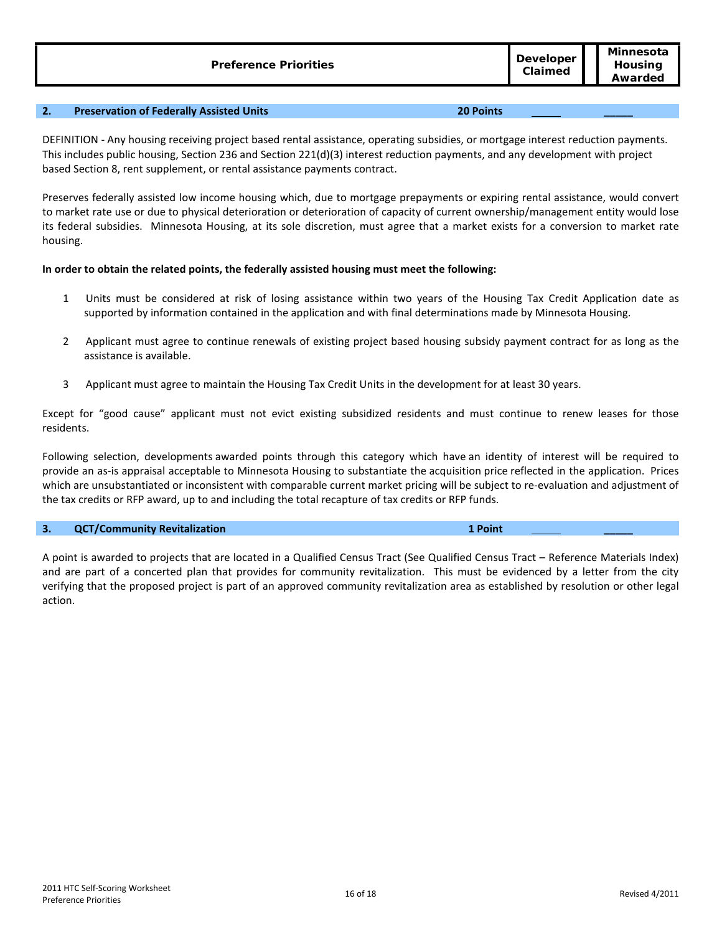# **2. Preservation of Federally Assisted Units 20 Points \_\_\_\_\_**

DEFINITION - Any housing receiving project based rental assistance, operating subsidies, or mortgage interest reduction payments. This includes public housing, Section 236 and Section 221(d)(3) interest reduction payments, and any development with project based Section 8, rent supplement, or rental assistance payments contract.

Preserves federally assisted low income housing which, due to mortgage prepayments or expiring rental assistance, would convert to market rate use or due to physical deterioration or deterioration of capacity of current ownership/management entity would lose its federal subsidies. Minnesota Housing, at its sole discretion, must agree that a market exists for a conversion to market rate housing.

# **In order to obtain the related points, the federally assisted housing must meet the following:**

- 1 Units must be considered at risk of losing assistance within two years of the Housing Tax Credit Application date as supported by information contained in the application and with final determinations made by Minnesota Housing.
- 2 Applicant must agree to continue renewals of existing project based housing subsidy payment contract for as long as the assistance is available.
- 3 Applicant must agree to maintain the Housing Tax Credit Units in the development for at least 30 years.

Except for "good cause" applicant must not evict existing subsidized residents and must continue to renew leases for those residents.

Following selection, developments awarded points through this category which have an identity of interest will be required to provide an as-is appraisal acceptable to Minnesota Housing to substantiate the acquisition price reflected in the application. Prices which are unsubstantiated or inconsistent with comparable current market pricing will be subject to re-evaluation and adjustment of the tax credits or RFP award, up to and including the total recapture of tax credits or RFP funds.

# **3. QCT/Community Revitalization 1 Point \_\_\_\_\_**

A point is awarded to projects that are located in a Qualified Census Tract (See Qualified Census Tract – Reference Materials Index) and are part of a concerted plan that provides for community revitalization. This must be evidenced by a letter from the city verifying that the proposed project is part of an approved community revitalization area as established by resolution or other legal action.

**Minnesota**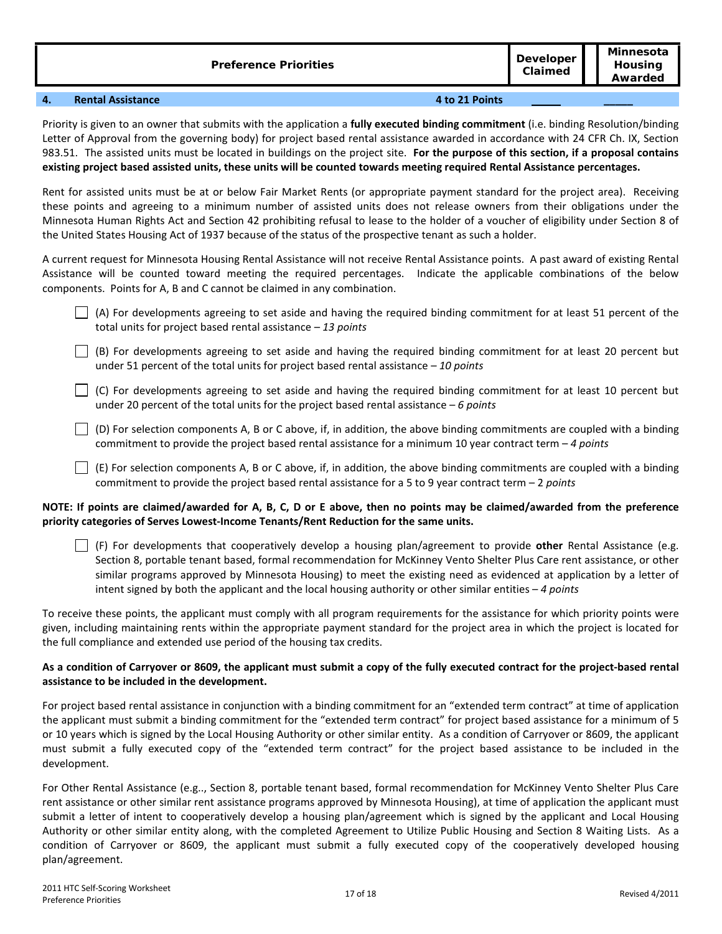| <b>Preference Priorities</b> | <b>Developer</b><br>Claimed | Minnesota<br><b>Housing</b><br>Awarded |
|------------------------------|-----------------------------|----------------------------------------|
|                              |                             |                                        |

#### **4. Rental Assistance 4 to 21 Points \_\_\_\_\_**

Priority is given to an owner that submits with the application a **fully executed binding commitment** (i.e. binding Resolution/binding Letter of Approval from the governing body) for project based rental assistance awarded in accordance with 24 CFR Ch. IX, Section 983.51. The assisted units must be located in buildings on the project site. **For the purpose of this section, if a proposal contains existing project based assisted units, these units will be counted towards meeting required Rental Assistance percentages.**

Rent for assisted units must be at or below Fair Market Rents (or appropriate payment standard for the project area). Receiving these points and agreeing to a minimum number of assisted units does not release owners from their obligations under the Minnesota Human Rights Act and Section 42 prohibiting refusal to lease to the holder of a voucher of eligibility under Section 8 of the United States Housing Act of 1937 because of the status of the prospective tenant as such a holder.

A current request for Minnesota Housing Rental Assistance will not receive Rental Assistance points. A past award of existing Rental Assistance will be counted toward meeting the required percentages. Indicate the applicable combinations of the below components. Points for A, B and C cannot be claimed in any combination.

- $\vert \ \vert$  (A) For developments agreeing to set aside and having the required binding commitment for at least 51 percent of the total units for project based rental assistance – *13 points*
- $\vert \ \vert$  (B) For developments agreeing to set aside and having the required binding commitment for at least 20 percent but under 51 percent of the total units for project based rental assistance – *10 points*
- $\vert \ \vert$  (C) For developments agreeing to set aside and having the required binding commitment for at least 10 percent but under 20 percent of the total units for the project based rental assistance – *6 points*
- $\vert \ \vert$  (D) For selection components A, B or C above, if, in addition, the above binding commitments are coupled with a binding commitment to provide the project based rental assistance for a minimum 10 year contract term – *4 points*
- $\vert\ \vert$  (E) For selection components A, B or C above, if, in addition, the above binding commitments are coupled with a binding commitment to provide the project based rental assistance for a 5 to 9 year contract term – 2 *points*

# **NOTE: If points are claimed/awarded for A, B, C, D or E above, then no points may be claimed/awarded from the preference priority categories of Serves Lowest-Income Tenants/Rent Reduction for the same units.**



To receive these points, the applicant must comply with all program requirements for the assistance for which priority points were given, including maintaining rents within the appropriate payment standard for the project area in which the project is located for the full compliance and extended use period of the housing tax credits.

# **As a condition of Carryover or 8609, the applicant must submit a copy of the fully executed contract for the project-based rental assistance to be included in the development.**

For project based rental assistance in conjunction with a binding commitment for an "extended term contract" at time of application the applicant must submit a binding commitment for the "extended term contract" for project based assistance for a minimum of 5 or 10 years which is signed by the Local Housing Authority or other similar entity. As a condition of Carryover or 8609, the applicant must submit a fully executed copy of the "extended term contract" for the project based assistance to be included in the development.

For Other Rental Assistance (e.g.., Section 8, portable tenant based, formal recommendation for McKinney Vento Shelter Plus Care rent assistance or other similar rent assistance programs approved by Minnesota Housing), at time of application the applicant must submit a letter of intent to cooperatively develop a housing plan/agreement which is signed by the applicant and Local Housing Authority or other similar entity along, with the completed Agreement to Utilize Public Housing and Section 8 Waiting Lists. As a condition of Carryover or 8609, the applicant must submit a fully executed copy of the cooperatively developed housing plan/agreement.